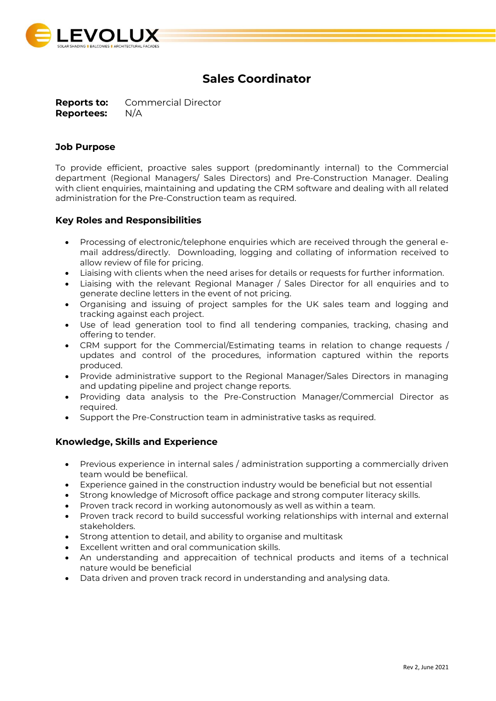

# **Sales Coordinator**

**Reports to:** Commercial Director **Reportees:** N/A

### **Job Purpose**

To provide efficient, proactive sales support (predominantly internal) to the Commercial department (Regional Managers/ Sales Directors) and Pre-Construction Manager. Dealing with client enquiries, maintaining and updating the CRM software and dealing with all related administration for the Pre-Construction team as required.

#### **Key Roles and Responsibilities**

- Processing of electronic/telephone enquiries which are received through the general email address/directly. Downloading, logging and collating of information received to allow review of file for pricing.
- Liaising with clients when the need arises for details or requests for further information.
- Liaising with the relevant Regional Manager / Sales Director for all enquiries and to generate decline letters in the event of not pricing.
- Organising and issuing of project samples for the UK sales team and logging and tracking against each project.
- Use of lead generation tool to find all tendering companies, tracking, chasing and offering to tender.
- CRM support for the Commercial/Estimating teams in relation to change requests / updates and control of the procedures, information captured within the reports produced.
- Provide administrative support to the Regional Manager/Sales Directors in managing and updating pipeline and project change reports.
- Providing data analysis to the Pre-Construction Manager/Commercial Director as required.
- Support the Pre-Construction team in administrative tasks as required.

#### **Knowledge, Skills and Experience**

- Previous experience in internal sales / administration supporting a commercially driven team would be benefiical.
- Experience gained in the construction industry would be beneficial but not essential
- Strong knowledge of Microsoft office package and strong computer literacy skills.
- Proven track record in working autonomously as well as within a team.
- Proven track record to build successful working relationships with internal and external stakeholders.
- Strong attention to detail, and ability to organise and multitask
- Excellent written and oral communication skills.
- An understanding and apprecaition of technical products and items of a technical nature would be beneficial
- Data driven and proven track record in understanding and analysing data.